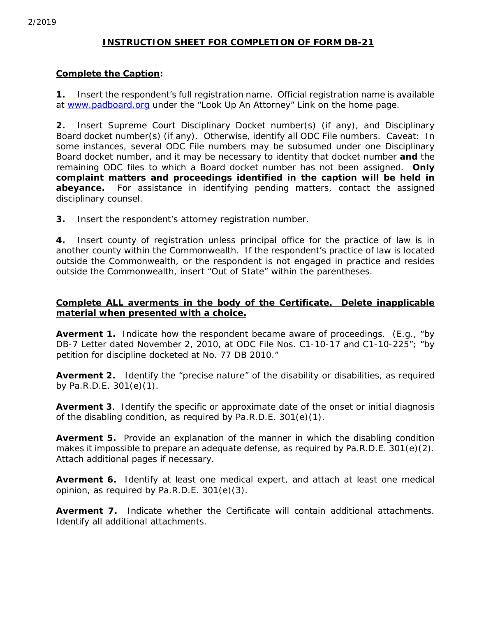# *INSTRUCTION SHEET FOR COMPLETION OF FORM DB-21*

# **Complete the Caption:**

**1.** Insert the respondent's full registration name. Official registration name is available at www.padboard.org under the "Look Up An Attorney" Link on the home page.

**2.** Insert Supreme Court Disciplinary Docket number(s) (if any), and Disciplinary Board docket number(s) (if any). Otherwise, identify all ODC File numbers. Caveat: In some instances, several ODC File numbers may be subsumed under one Disciplinary Board docket number, and it may be necessary to identity that docket number *and* the remaining ODC files to which a Board docket number has not been assigned. **Only complaint matters and proceedings identified in the caption will be held in abeyance.** For assistance in identifying pending matters, contact the assigned disciplinary counsel.

**3.** Insert the respondent's attorney registration number.

**4.** Insert county of registration unless principal office for the practice of law is in another county within the Commonwealth. If the respondent's practice of law is located outside the Commonwealth, or the respondent is not engaged in practice and resides outside the Commonwealth, insert "Out of State" within the parentheses.

### **Complete ALL averments in the body of the Certificate. Delete inapplicable material when presented with a choice.**

**Averment 1.** Indicate how the respondent became aware of proceedings. (E.g., "by DB-7 Letter dated November 2, 2010, at ODC File Nos. C1-10-17 and C1-10-225"; "by petition for discipline docketed at No. 77 DB 2010."

**Averment 2.** Identify the "precise nature" of the disability or disabilities, as required by Pa.R.D.E. 301(e)(1).

**Averment 3**. Identify the specific or approximate date of the onset or initial diagnosis of the disabling condition, as required by Pa.R.D.E. 301(e)(1).

**Averment 5.** Provide an explanation of the manner in which the disabling condition makes it impossible to prepare an adequate defense, as required by Pa.R.D.E. 301(e)(2). Attach additional pages if necessary.

**Averment 6.** Identify at least one medical expert, and attach at least one medical opinion, as required by Pa.R.D.E. 301(e)(3).

**Averment 7.** Indicate whether the Certificate will contain additional attachments. Identify all additional attachments.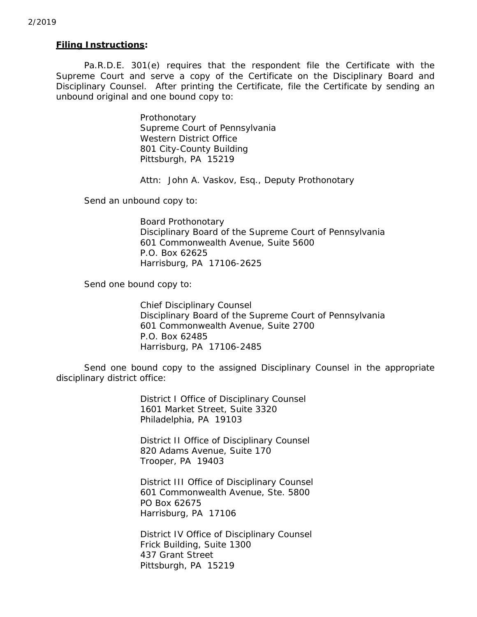#### *Filing Instructions***:**

Pa.R.D.E. 301(e) requires that the respondent file the Certificate with the Supreme Court and serve a copy of the Certificate on the Disciplinary Board and Disciplinary Counsel. After printing the Certificate, file the Certificate by sending an unbound original and one bound copy to:

> Prothonotary Supreme Court of Pennsylvania Western District Office 801 City-County Building Pittsburgh, PA 15219

Attn: John A. Vaskov, Esq., Deputy Prothonotary

Send an unbound copy to:

Board Prothonotary Disciplinary Board of the Supreme Court of Pennsylvania 601 Commonwealth Avenue, Suite 5600 P.O. Box 62625 Harrisburg, PA 17106-2625

Send one bound copy to:

Chief Disciplinary Counsel Disciplinary Board of the Supreme Court of Pennsylvania 601 Commonwealth Avenue, Suite 2700 P.O. Box 62485 Harrisburg, PA 17106-2485

Send one bound copy to the assigned Disciplinary Counsel in the appropriate disciplinary district office:

> District I Office of Disciplinary Counsel 1601 Market Street, Suite 3320 Philadelphia, PA 19103

 District II Office of Disciplinary Counsel 820 Adams Avenue, Suite 170 Trooper, PA 19403

 District III Office of Disciplinary Counsel 601 Commonwealth Avenue, Ste. 5800 PO Box 62675 Harrisburg, PA 17106

 District IV Office of Disciplinary Counsel Frick Building, Suite 1300 437 Grant Street Pittsburgh, PA 15219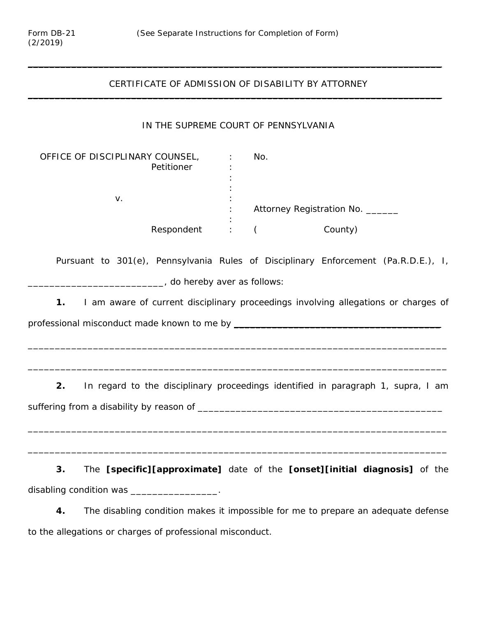#### CERTIFICATE OF ADMISSION OF DISABILITY BY ATTORNEY  $\mathcal{L}_\text{max}$  , and the contract of the contract of the contract of the contract of the contract of the contract of the contract of the contract of the contract of the contract of the contract of the contract of the contr

\_\_\_\_\_\_\_\_\_\_\_\_\_\_\_\_\_\_\_\_\_\_\_\_\_\_\_\_\_\_\_\_\_\_\_\_\_\_\_\_\_\_\_\_\_\_\_\_\_\_\_\_\_\_\_\_\_\_\_\_\_\_\_\_\_\_\_\_\_\_\_\_\_\_\_\_

## IN THE SUPREME COURT OF PENNSYLVANIA

| OFFICE OF DISCIPLINARY COUNSEL, |   | No.                              |
|---------------------------------|---|----------------------------------|
| Petitioner                      | ٠ |                                  |
|                                 |   |                                  |
|                                 |   |                                  |
| v.                              |   |                                  |
|                                 |   | Attorney Registration No. ______ |
|                                 | ٠ |                                  |
| Respondent                      | ٠ | County)                          |

Pursuant to 301(e), Pennsylvania Rules of Disciplinary Enforcement (Pa.R.D.E.), I, \_\_\_\_\_\_\_\_\_\_\_\_\_\_\_\_\_\_\_\_\_\_\_\_\_\_\_, do hereby aver as follows:

**1.** I am aware of current disciplinary proceedings involving allegations or charges of professional misconduct made known to me by \_\_\_\_\_\_\_\_\_\_\_\_\_\_\_\_\_\_\_\_\_\_\_\_\_\_\_\_\_\_\_\_\_\_\_\_\_\_

\_\_\_\_\_\_\_\_\_\_\_\_\_\_\_\_\_\_\_\_\_\_\_\_\_\_\_\_\_\_\_\_\_\_\_\_\_\_\_\_\_\_\_\_\_\_\_\_\_\_\_\_\_\_\_\_\_\_\_\_\_\_\_\_\_\_\_\_\_\_\_\_\_\_\_\_\_

\_\_\_\_\_\_\_\_\_\_\_\_\_\_\_\_\_\_\_\_\_\_\_\_\_\_\_\_\_\_\_\_\_\_\_\_\_\_\_\_\_\_\_\_\_\_\_\_\_\_\_\_\_\_\_\_\_\_\_\_\_\_\_\_\_\_\_\_\_\_\_\_\_\_\_\_\_

**2.** In regard to the disciplinary proceedings identified in paragraph 1, *supra*, I am suffering from a disability by reason of \_\_\_\_\_\_\_\_\_\_\_\_\_\_\_\_\_\_\_\_\_\_\_\_\_\_\_\_\_\_\_\_\_\_\_\_\_\_\_\_\_\_\_\_\_

\_\_\_\_\_\_\_\_\_\_\_\_\_\_\_\_\_\_\_\_\_\_\_\_\_\_\_\_\_\_\_\_\_\_\_\_\_\_\_\_\_\_\_\_\_\_\_\_\_\_\_\_\_\_\_\_\_\_\_\_\_\_\_\_\_\_\_\_\_\_\_\_\_\_\_\_\_

\_\_\_\_\_\_\_\_\_\_\_\_\_\_\_\_\_\_\_\_\_\_\_\_\_\_\_\_\_\_\_\_\_\_\_\_\_\_\_\_\_\_\_\_\_\_\_\_\_\_\_\_\_\_\_\_\_\_\_\_\_\_\_\_\_\_\_\_\_\_\_\_\_\_\_\_\_

**3.** The **[specific][approximate]** date of the **[onset][initial diagnosis]** of the disabling condition was \_\_\_\_\_\_\_\_\_\_\_\_\_\_\_\_.

**4.** The disabling condition makes it impossible for me to prepare an adequate defense to the allegations or charges of professional misconduct.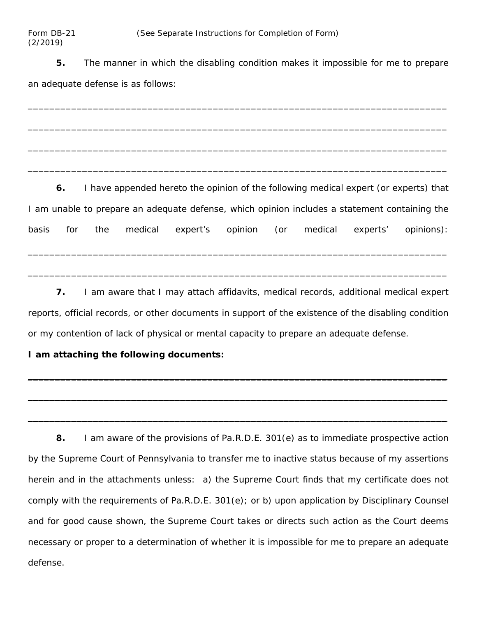**5.** The manner in which the disabling condition makes it impossible for me to prepare an adequate defense is as follows:

\_\_\_\_\_\_\_\_\_\_\_\_\_\_\_\_\_\_\_\_\_\_\_\_\_\_\_\_\_\_\_\_\_\_\_\_\_\_\_\_\_\_\_\_\_\_\_\_\_\_\_\_\_\_\_\_\_\_\_\_\_\_\_\_\_\_\_\_\_\_\_\_\_\_\_\_\_

\_\_\_\_\_\_\_\_\_\_\_\_\_\_\_\_\_\_\_\_\_\_\_\_\_\_\_\_\_\_\_\_\_\_\_\_\_\_\_\_\_\_\_\_\_\_\_\_\_\_\_\_\_\_\_\_\_\_\_\_\_\_\_\_\_\_\_\_\_\_\_\_\_\_\_\_\_

\_\_\_\_\_\_\_\_\_\_\_\_\_\_\_\_\_\_\_\_\_\_\_\_\_\_\_\_\_\_\_\_\_\_\_\_\_\_\_\_\_\_\_\_\_\_\_\_\_\_\_\_\_\_\_\_\_\_\_\_\_\_\_\_\_\_\_\_\_\_\_\_\_\_\_\_\_

\_\_\_\_\_\_\_\_\_\_\_\_\_\_\_\_\_\_\_\_\_\_\_\_\_\_\_\_\_\_\_\_\_\_\_\_\_\_\_\_\_\_\_\_\_\_\_\_\_\_\_\_\_\_\_\_\_\_\_\_\_\_\_\_\_\_\_\_\_\_\_\_\_\_\_\_\_

**6.** I have appended hereto the opinion of the following medical expert (or experts) that I am unable to prepare an adequate defense, which opinion includes a statement containing the basis for the medical expert's opinion (or medical experts' opinions):

\_\_\_\_\_\_\_\_\_\_\_\_\_\_\_\_\_\_\_\_\_\_\_\_\_\_\_\_\_\_\_\_\_\_\_\_\_\_\_\_\_\_\_\_\_\_\_\_\_\_\_\_\_\_\_\_\_\_\_\_\_\_\_\_\_\_\_\_\_\_\_\_\_\_\_\_\_

\_\_\_\_\_\_\_\_\_\_\_\_\_\_\_\_\_\_\_\_\_\_\_\_\_\_\_\_\_\_\_\_\_\_\_\_\_\_\_\_\_\_\_\_\_\_\_\_\_\_\_\_\_\_\_\_\_\_\_\_\_\_\_\_\_\_\_\_\_\_\_\_\_\_\_\_\_

**7.** I am aware that I may attach affidavits, medical records, additional medical expert reports, official records, or other documents in support of the existence of the disabling condition or my contention of lack of physical or mental capacity to prepare an adequate defense.

 $\mathcal{L}_\text{max}$  and the contract of the contract of the contract of the contract of the contract of the contract of the contract of the contract of the contract of the contract of the contract of the contract of the contrac

 $\mathcal{L}_\text{max}$  , and the contract of the contract of the contract of the contract of the contract of the contract of the contract of the contract of the contract of the contract of the contract of the contract of the contr

\_\_\_\_\_\_\_\_\_\_\_\_\_\_\_\_\_\_\_\_\_\_\_\_\_\_\_\_\_\_\_\_\_\_\_\_\_\_\_\_\_\_\_\_\_\_\_\_\_\_\_\_\_\_\_\_\_\_\_\_\_\_\_\_\_\_\_\_\_\_\_\_\_\_\_\_\_

# **I am attaching the following documents:**

**8.** I am aware of the provisions of Pa.R.D.E. 301(e) as to immediate prospective action by the Supreme Court of Pennsylvania to transfer me to inactive status because of my assertions herein and in the attachments unless: a) the Supreme Court finds that my certificate does not comply with the requirements of Pa.R.D.E. 301(e); or b) upon application by Disciplinary Counsel and for good cause shown, the Supreme Court takes or directs such action as the Court deems necessary or proper to a determination of whether it is impossible for me to prepare an adequate defense.